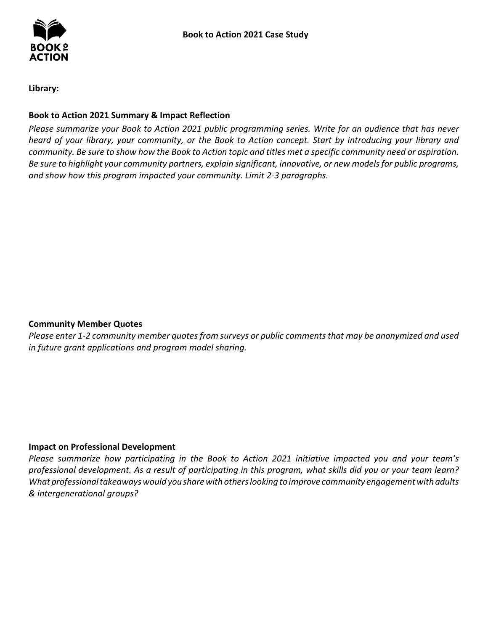**Library:** 

## **Book to Action 2021 Summary & Impact Reflection**

*Please summarize your Book to Action 2021 public programming series. Write for an audience that has never heard of your library, your community, or the Book to Action concept. Start by introducing your library and community. Be sure to show how the Book to Action topic and titles met a specific community need or aspiration. Be sure to highlight your community partners, explain significant, innovative, or new models for public programs, and show how this program impacted your community. Limit 2-3 paragraphs.* 

## **Community Member Quotes**

*Please enter 1-2 community member quotes from surveys or public comments that may be anonymized and used in future grant applications and program model sharing.* 

## **Impact on Professional Development**

 *What professional takeaways would you share with others looking to improve community engagement with adults & intergenerational groups? Please summarize how participating in the Book to Action 2021 initiative impacted you and your team's professional development. As a result of participating in this program, what skills did you or your team learn?*